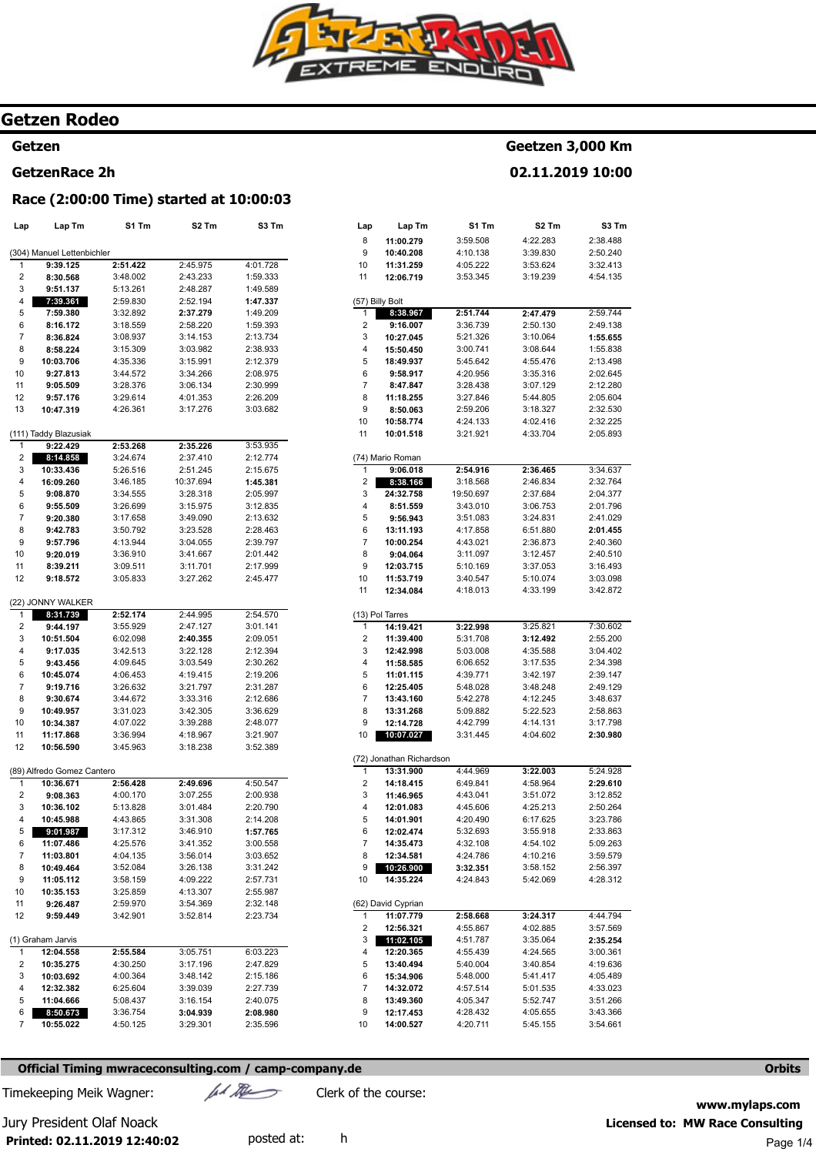

# **Getzen Rodeo**

# **Getzen**

# **GetzenRace 2h**

## **Race (2:00:00 Time) started at 10:00:03**

| Lap            | Lap Tm                     | S1 Tm    | S2 Tm     | S3 Tm    |
|----------------|----------------------------|----------|-----------|----------|
|                |                            |          |           |          |
|                | (304) Manuel Lettenbichler |          |           |          |
| 1              | 9:39.125                   | 2:51.422 | 2:45.975  | 4:01.728 |
| $\overline{2}$ | 8:30.568                   | 3:48.002 | 2:43.233  | 1:59.333 |
| 3              | 9:51.137                   | 5:13.261 | 2:48.287  | 1:49.589 |
| 4              | 7:39.361                   | 2:59.830 | 2:52.194  | 1:47.337 |
| 5              | 7:59.380                   | 3:32.892 | 2:37.279  | 1:49.209 |
| 6              | 8:16.172                   | 3:18.559 | 2:58.220  | 1:59.393 |
| 7              | 8:36.824                   | 3:08.937 | 3:14.153  | 2:13.734 |
| 8              | 8:58.224                   | 3:15.309 | 3:03.982  | 2:38.933 |
| 9              | 10:03.706                  | 4:35.336 | 3:15.991  | 2:12.379 |
| 10             | 9:27.813                   | 3:44.572 | 3:34.266  | 2:08.975 |
| 11             | 9:05.509                   | 3:28.376 | 3:06.134  | 2:30.999 |
| 12             | 9:57.176                   | 3:29.614 | 4:01.353  | 2:26.209 |
| 13             | 10:47.319                  | 4:26.361 | 3:17.276  | 3:03.682 |
|                | (111) Taddy Blazusiak      |          |           |          |
| 1              | 9:22.429                   | 2:53.268 | 2:35.226  | 3:53.935 |
| 2              | 8:14.858                   | 3:24.674 | 2:37.410  | 2:12.774 |
| 3              | 10:33.436                  | 5:26.516 | 2:51.245  | 2:15.675 |
| 4              | 16:09.260                  | 3:46.185 | 10:37.694 | 1:45.381 |
| 5              | 9:08.870                   | 3:34.555 | 3:28.318  | 2:05.997 |
| 6              | 9:55.509                   | 3:26.699 | 3:15.975  | 3:12.835 |
| 7              | 9:20.380                   | 3:17.658 | 3:49.090  | 2:13.632 |
| 8              | 9:42.783                   | 3:50.792 | 3:23.528  | 2:28.463 |
| 9              | 9:57.796                   | 4:13.944 | 3:04.055  | 2:39.797 |
| 10             | 9:20.019                   | 3:36.910 | 3:41.667  | 2:01.442 |
| 11             | 8:39.211                   | 3:09.511 | 3:11.701  | 2:17.999 |
| 12             | 9:18.572                   | 3:05.833 | 3:27.262  | 2:45.477 |
|                |                            |          |           |          |
|                | (22) JONNY WALKER          |          |           |          |
| 1              | 8:31.739                   | 2:52.174 | 2:44.995  | 2:54.570 |
| 2              | 9:44.197                   | 3:55.929 | 2:47.127  | 3:01.141 |
| 3              | 10:51.504                  | 6:02.098 | 2:40.355  | 2:09.051 |
| 4              | 9:17.035                   | 3:42.513 | 3:22.128  | 2:12.394 |
| 5              | 9:43.456                   | 4:09.645 | 3:03.549  | 2:30.262 |
| 6              | 10:45.074                  | 4:06.453 | 4:19.415  | 2:19.206 |
| 7              | 9:19.716                   | 3:26.632 | 3:21.797  | 2:31.287 |
| 8              | 9:30.674                   | 3:44.672 | 3:33.316  | 2:12.686 |
| 9              | 10:49.957                  | 3:31.023 | 3:42.305  | 3:36.629 |
| 10             | 10:34.387                  | 4:07.022 | 3:39.288  | 2:48.077 |
| 11             | 11:17.868                  | 3:36.994 | 4:18.967  | 3:21.907 |
| 12             | 10:56.590                  | 3:45.963 | 3:18.238  | 3:52.389 |
|                | (89) Alfredo Gomez Cantero |          |           |          |
| 1              | 10:36.671                  | 2:56.428 | 2:49.696  | 4:50.547 |
| 2              | 9:08.363                   | 4:00.170 | 3:07.255  | 2:00.938 |
| 3              | 10:36.102                  | 5:13.828 | 3:01.484  | 2:20.790 |
| 4              | 10:45.988                  | 4:43.865 | 3:31.308  | 2:14.208 |
| 5              | 9:01.987                   | 3:17.312 | 3:46.910  | 1:57.765 |
| 6              | 11:07.486                  | 4:25.576 | 3:41.352  | 3:00.558 |
| 7              | 11:03.801                  | 4:04.135 | 3:56.014  | 3:03.652 |
| 8              | 10:49.464                  | 3:52.084 | 3:26.138  | 3:31.242 |
| 9              | 11:05.112                  | 3:58.159 | 4:09.222  | 2:57.731 |
| 10             | 10:35.153                  | 3:25.859 | 4:13.307  | 2:55.987 |
| 11             | 9:26.487                   | 2:59.970 | 3:54.369  | 2:32.148 |
| 12             | 9:59.449                   | 3:42.901 | 3:52.814  | 2:23.734 |
|                |                            |          |           |          |
|                | (1) Graham Jarvis          |          |           |          |
| 1              | 12:04.558                  | 2:55.584 | 3:05.751  | 6:03.223 |
| 2              | 10:35.275                  | 4:30.250 | 3:17.196  | 2:47.829 |
| 3              | 10:03.692                  | 4:00.364 | 3:48.142  | 2:15.186 |
| 4              | 12:32.382                  | 6:25.604 | 3:39.039  | 2:27.739 |
| 5              | 11:04.666                  | 5:08.437 | 3:16.154  | 2:40.075 |
| 6              | 8:50.673                   | 3:36.754 | 3:04.939  | 2:08.980 |
| 7              | 10:55.022                  | 4:50.125 | 3:29.301  | 2:35.596 |
|                |                            |          |           |          |

| Lap            | Lap Tm           | S1 Tm     | S <sub>2</sub> Tm | S <sub>3</sub> Tm |
|----------------|------------------|-----------|-------------------|-------------------|
| 8              | 11:00.279        | 3:59.508  | 4:22.283          | 2:38.488          |
| 9              | 10:40.208        | 4:10.138  | 3:39.830          | 2:50.240          |
| 10             | 11:31.259        | 4:05.222  | 3:53.624          | 3:32.413          |
| 11             | 12:06.719        | 3:53.345  | 3:19.239          | 4:54.135          |
|                | (57) Billy Bolt  |           |                   |                   |
| 1              | 8:38.967         | 2:51.744  | 2:47.479          | 2:59.744          |
| $\overline{2}$ | 9:16.007         | 3:36.739  | 2:50.130          | 2:49.138          |
| 3              | 10:27.045        | 5:21.326  | 3:10.064          | 1:55.655          |
| 4              | 15:50.450        | 3:00.741  | 3:08.644          | 1:55.838          |
| 5              | 18:49.937        | 5:45.642  | 4:55.476          | 2:13.498          |
| 6              | 9:58.917         | 4:20.956  | 3:35.316          | 2:02.645          |
| $\overline{7}$ | 8:47.847         | 3:28.438  | 3:07.129          | 2:12.280          |
| 8              | 11:18.255        | 3:27.846  | 5:44.805          | 2:05.604          |
| 9              | 8:50.063         | 2:59.206  | 3:18.327          | 2:32.530          |
| 10             | 10:58.774        | 4:24.133  | 4:02.416          | 2:32.225          |
| 11             | 10:01.518        | 3:21.921  | 4:33.704          | 2:05.893          |
|                | (74) Mario Roman |           |                   |                   |
| 1              | 9:06.018         | 2:54.916  | 2:36.465          | 3:34.637          |
| 2              | 8:38.166         | 3:18.568  | 2:46.834          | 2:32.764          |
| 3              | 24:32.758        | 19:50.697 | 2:37.684          | 2:04.377          |
| 4              | 8:51.559         | 3:43.010  | 3:06.753          | 2:01.796          |
| 5              | 9:56.943         | 3:51.083  | 3:24.831          | 2:41.029          |
| 6              | 13:11.193        | 4:17.858  | 6:51.880          | 2:01.455          |
| 7              | 10:00.254        | 4:43.021  | 2:36.873          | 2:40.360          |
| 8              | 9:04.064         | 3:11.097  | 3:12.457          | 2:40.510          |
| 9              | 12:03.715        | 5:10.169  | 3:37.053          | 3:16.493          |
| 10             | 11:53.719        | 3:40.547  | 5:10.074          | 3:03.098          |
| 11             | 12:34.084        | 4:18.013  | 4:33.199          | 3:42.872          |
|                | (13) Pol Tarres  |           |                   |                   |
| 1              | 14:19.421        | 3:22.998  | 3:25.821          | 7:30.602          |
|                | 44.20.400        | 5.21700   | 2.42.402          | 9.55.200          |

**Geetzen 3,000 Km 02.11.2019 10:00** 

| 2              | 11:39.400                | 5:31.708 | 3:12.492 | 2:55.200 |
|----------------|--------------------------|----------|----------|----------|
| 3              | 12:42.998                | 5:03.008 | 4:35.588 | 3:04.402 |
| 4              | 11:58.585                | 6:06.652 | 3:17.535 | 2:34.398 |
| 5              | 11:01.115                | 4:39.771 | 3:42.197 | 2:39.147 |
| 6              | 12:25.405                | 5:48.028 | 3:48.248 | 2:49.129 |
| $\overline{7}$ | 13:43.160                | 5:42.278 | 4:12.245 | 3:48.637 |
| 8              | 13:31.268                | 5:09.882 | 5:22.523 | 2:58.863 |
| 9              | 12:14.728                | 4:42.799 | 4:14.131 | 3:17.798 |
| 10             | 10:07.027                | 3:31.445 | 4:04.602 | 2:30.980 |
|                |                          |          |          |          |
|                | (72) Jonathan Richardson |          |          |          |
| 1              | 13:31.900                | 4:44.969 | 3:22.003 | 5:24.928 |
| 2              | 14:18.415                | 6:49.841 | 4:58.964 | 2:29.610 |
| 3              | 11:46.965                | 4:43.041 | 3:51.072 | 3:12.852 |
| 4              | 12:01.083                | 4:45.606 | 4:25.213 | 2:50.264 |
| 5              | 14:01.901                | 4:20.490 | 6:17.625 | 3:23.786 |
| 6              | 12:02.474                | 5:32.693 | 3:55.918 | 2:33.863 |
| $\overline{7}$ | 14:35.473                | 4:32.108 | 4:54.102 | 5:09.263 |
| 8              | 12:34.581                | 4:24.786 | 4:10.216 | 3:59.579 |
| 9              | 10:26.900                | 3:32.351 | 3:58.152 | 2:56.397 |
| 10             | 14:35.224                | 4:24.843 | 5:42.069 | 4:28.312 |
|                |                          |          |          |          |
|                | (62) David Cyprian       |          |          |          |
| 1              | 11:07.779                | 2:58.668 | 3:24.317 | 4:44.794 |
| 2              | 12:56.321                | 4:55.867 | 4:02.885 | 3:57.569 |
| 3              | 11:02.105                | 4:51.787 | 3:35.064 | 2:35.254 |
| 4              | 12:20.365                | 4:55.439 | 4:24.565 | 3:00.361 |
| 5              | 13:40.494                | 5:40.004 | 3:40.854 | 4:19.636 |
| 6              | 15:34.906                | 5:48.000 | 5:41.417 | 4:05.489 |
| $\overline{7}$ | 14:32.072                | 4:57.514 | 5:01.535 | 4:33.023 |

4:05.347 4:28.432 4:20.711

5:52.747 4:05.655 5:45.155 3:51.266 3:43.366 3:54.661

## **Official Timing mwraceconsulting.com / camp-company.de Orbits <b>Orbits Orbits Orbits**

Timekeeping Meik Wagner:  $\mu$  Mexico Clerk of the course:

8 9 10 **13:49.360 12:17.453 14:00.527** 

**Printed: 02.11.2019 12:40:02** 

# **www.mylaps.com**  Jury President Olaf Noack **Licensed to: MW Race Consulting**  posted at: h explored at: h Page 1/4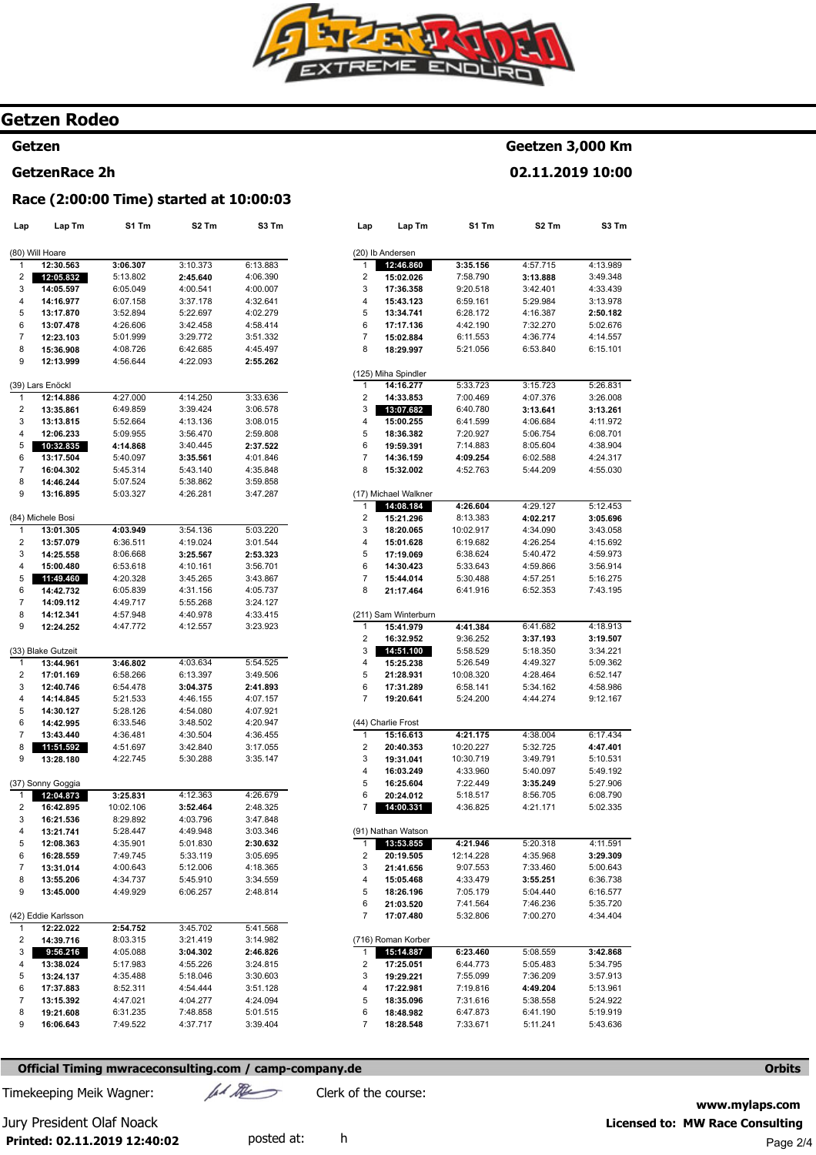

**S3 Tm** 

4:13.989 3:49.348 4:33.439 3:13.978 **2:50.182**  5:02.676 4:14.557 6:15.101

**Geetzen 3,000 Km 02.11.2019 10:00** 

> 5:26.831 3:26.008 **3:13.261**  4:11.972 6:08.701 4:38.904 4:24.317 4:55.030

5:12.453 **3:05.696**  3:43.058 4:15.692 4:59.973 3:56.914 5:16.275 7:43.195

4:18.913 **3:19.507**  3:34.221 5:09.362 6:52.147 4:58.986 9:12.167

6:17.434 **4:47.401**  5:10.531 5:49.192 5:27.906 6:08.790 5:02.335

4:11.591 **3:29.309**  5:00.643 6:36.738 6:16.577 5:35.720 4:34.404

**3:42.868**  5:34.795 3:57.913 5:13.961 5:24.922 5:19.919 5:43.636

# **Getzen Rodeo**

#### **Getzen**

#### **GetzenRace 2h**

# **Race (2:00:00 Time) started at 10:00:03**

| Lap | Lap Tm              | S1 Tm     | S <sub>2</sub> Tm | S3 Tm    | Lap            | Lap Tm                           | S1 Tm     | S2 Tm    |
|-----|---------------------|-----------|-------------------|----------|----------------|----------------------------------|-----------|----------|
|     |                     |           |                   |          |                |                                  |           |          |
|     | (80) Will Hoare     |           |                   | 6:13.883 |                | (20) Ib Andersen                 |           | 4:57.715 |
| 1   | 12:30.563           | 3:06.307  | 3:10.373          |          | 1              | 12:46.860                        | 3:35.156  |          |
| 2   | 12:05.832           | 5:13.802  | 2:45.640          | 4:06.390 | 2              | 15:02.026                        | 7:58.790  | 3:13.888 |
| 3   | 14:05.597           | 6:05.049  | 4:00.541          | 4:00.007 | 3              | 17:36.358                        | 9:20.518  | 3:42.401 |
| 4   | 14:16.977           | 6:07.158  | 3:37.178          | 4:32.641 | 4              | 15:43.123                        | 6:59.161  | 5:29.984 |
| 5   | 13:17.870           | 3:52.894  | 5:22.697          | 4:02.279 | 5              | 13:34.741                        | 6:28.172  | 4:16.387 |
| 6   | 13:07.478           | 4:26.606  | 3:42.458          | 4:58.414 | 6              | 17:17.136                        | 4:42.190  | 7:32.270 |
| 7   | 12:23.103           | 5:01.999  | 3:29.772          | 3:51.332 | $\overline{7}$ | 15:02.884                        | 6:11.553  | 4:36.774 |
| 8   | 15:36.908           | 4:08.726  | 6:42.685          | 4:45.497 | 8              | 18:29.997                        | 5:21.056  | 6:53.840 |
| 9   | 12:13.999           | 4:56.644  | 4:22.093          | 2:55.262 |                |                                  |           |          |
|     | (39) Lars Enöckl    |           |                   |          | 1              | (125) Miha Spindler<br>14:16.277 | 5:33.723  | 3:15.723 |
| 1   | 12:14.886           | 4:27.000  | 4:14.250          | 3:33.636 | 2              | 14:33.853                        | 7:00.469  | 4:07.376 |
| 2   |                     | 6:49.859  | 3:39.424          | 3:06.578 | 3              | 13:07.682                        | 6:40.780  | 3:13.641 |
| 3   | 13:35.861           |           |                   |          | 4              | 15:00.255                        |           |          |
| 4   | 13:13.815           | 5:52.664  | 4:13.136          | 3:08.015 |                |                                  | 6:41.599  | 4:06.684 |
|     | 12:06.233           | 5:09.955  | 3:56.470          | 2:59.808 | 5              | 18:36.382                        | 7:20.927  | 5:06.754 |
| 5   | 10:32.835           | 4:14.868  | 3:40.445          | 2:37.522 | 6              | 19:59.391                        | 7:14.883  | 8:05.604 |
| 6   | 13:17.504           | 5:40.097  | 3:35.561          | 4:01.846 | 7              | 14:36.159                        | 4:09.254  | 6:02.588 |
| 7   | 16:04.302           | 5:45.314  | 5:43.140          | 4:35.848 | 8              | 15:32.002                        | 4:52.763  | 5:44.209 |
| 8   | 14:46.244           | 5:07.524  | 5:38.862          | 3:59.858 |                |                                  |           |          |
| 9   | 13:16.895           | 5:03.327  | 4:26.281          | 3:47.287 |                | (17) Michael Walkner             |           |          |
|     |                     |           |                   |          | 1              | 14:08.184                        | 4:26.604  | 4:29.127 |
|     | (84) Michele Bosi   |           |                   |          | 2              | 15:21.296                        | 8:13.383  | 4:02.217 |
| 1   | 13:01.305           | 4:03.949  | 3:54.136          | 5:03.220 | 3              | 18:20.065                        | 10:02.917 | 4:34.090 |
| 2   | 13:57.079           | 6:36.511  | 4:19.024          | 3:01.544 | 4              | 15:01.628                        | 6:19.682  | 4:26.254 |
| 3   | 14:25.558           | 8:06.668  | 3:25.567          | 2:53.323 | 5              | 17:19.069                        | 6:38.624  | 5:40.472 |
| 4   | 15:00.480           | 6:53.618  | 4:10.161          | 3:56.701 | 6              | 14:30.423                        | 5:33.643  | 4:59.866 |
| 5   | 11:49.460           | 4:20.328  | 3:45.265          | 3:43.867 | 7              | 15:44.014                        | 5:30.488  | 4:57.251 |
| 6   | 14:42.732           | 6:05.839  | 4:31.156          | 4:05.737 | 8              | 21:17.464                        | 6:41.916  | 6:52.353 |
| 7   | 14:09.112           | 4:49.717  | 5:55.268          | 3:24.127 |                |                                  |           |          |
| 8   | 14:12.341           | 4:57.948  | 4:40.978          | 4:33.415 |                | (211) Sam Winterburn             |           |          |
| 9   | 12:24.252           | 4:47.772  | 4:12.557          | 3:23.923 | 1              | 15:41.979                        | 4:41.384  | 6:41.682 |
|     |                     |           |                   |          | 2              | 16:32.952                        | 9:36.252  | 3:37.193 |
|     | (33) Blake Gutzeit  |           |                   |          | 3              | 14:51.100                        | 5:58.529  | 5:18.350 |
| 1   | 13:44.961           | 3:46.802  | 4:03.634          | 5:54.525 | 4              | 15:25.238                        | 5:26.549  | 4:49.327 |
| 2   | 17:01.169           | 6:58.266  | 6:13.397          | 3:49.506 | 5              | 21:28.931                        | 10:08.320 | 4:28.464 |
| 3   | 12:40.746           | 6:54.478  | 3:04.375          | 2:41.893 | 6              | 17:31.289                        | 6:58.141  | 5:34.162 |
| 4   | 14:14.845           | 5:21.533  | 4:46.155          | 4:07.157 | $\overline{7}$ | 19:20.641                        | 5:24.200  | 4:44.274 |
| 5   | 14:30.127           | 5:28.126  | 4:54.080          | 4:07.921 |                |                                  |           |          |
| 6   | 14:42.995           | 6:33.546  | 3:48.502          | 4:20.947 |                | (44) Charlie Frost               |           |          |
| 7   | 13:43.440           | 4:36.481  | 4:30.504          | 4:36.455 | 1              | 15:16.613                        | 4:21.175  | 4:38.004 |
| 8   | 11:51.592           | 4:51.697  | 3:42.840          | 3:17.055 | 2              | 20:40.353                        | 10:20.227 | 5:32.725 |
| 9   | 13:28.180           | 4:22.745  | 5:30.288          | 3:35.147 | 3              | 19:31.041                        | 10:30.719 | 3:49.791 |
|     |                     |           |                   |          | 4              | 16:03.249                        | 4:33.960  | 5:40.097 |
|     | (37) Sonny Goggia   |           |                   |          | 5              | 16:25.604                        | 7:22.449  | 3:35.249 |
| 1   | 12:04.873           | 3:25.831  | 4:12.363          | 4:26.679 | 6              | 20:24.012                        | 5:18.517  | 8:56.705 |
| 2   | 16:42.895           | 10:02.106 | 3:52.464          | 2:48.325 | 7              | 14:00.331                        | 4:36.825  | 4:21.171 |
| 3   | 16:21.536           | 8:29.892  | 4:03.796          | 3:47.848 |                |                                  |           |          |
| 4   | 13:21.741           | 5:28.447  | 4:49.948          | 3:03.346 |                | (91) Nathan Watson               |           |          |
| 5   | 12:08.363           | 4:35.901  | 5:01.830          | 2:30.632 | 1              | 13:53.855                        | 4:21.946  | 5:20.318 |
| 6   | 16:28.559           | 7:49.745  | 5:33.119          | 3:05.695 | 2              | 20:19.505                        | 12:14.228 | 4:35.968 |
| 7   | 13:31.014           | 4:00.643  | 5:12.006          | 4:18.365 | 3              | 21:41.656                        | 9:07.553  | 7:33.460 |
| 8   | 13:55.206           | 4:34.737  | 5:45.910          | 3:34.559 | 4              | 15:05.468                        | 4:33.479  | 3:55.251 |
| 9   | 13:45.000           | 4:49.929  | 6:06.257          | 2:48.814 | 5              | 18:26.196                        | 7:05.179  | 5:04.440 |
|     |                     |           |                   |          | 6              | 21:03.520                        | 7:41.564  | 7:46.236 |
|     | (42) Eddie Karlsson |           |                   |          | 7              | 17:07.480                        | 5:32.806  | 7:00.270 |
| 1   | 12:22.022           | 2:54.752  | 3:45.702          | 5:41.568 |                |                                  |           |          |
| 2   | 14:39.716           | 8:03.315  | 3:21.419          | 3:14.982 |                | (716) Roman Korber               |           |          |
| 3   | 9:56.216            | 4:05.088  | 3:04.302          | 2:46.826 | 1              | 15:14.887                        | 6:23.460  | 5:08.559 |
| 4   | 13:38.024           | 5:17.983  | 4:55.226          | 3:24.815 | 2              | 17:25.051                        | 6:44.773  | 5:05.483 |
| 5   | 13:24.137           | 4:35.488  | 5:18.046          | 3:30.603 | 3              | 19:29.221                        | 7:55.099  | 7:36.209 |
| 6   | 17:37.883           | 8:52.311  | 4:54.444          | 3:51.128 | 4              | 17:22.981                        | 7:19.816  | 4:49.204 |
| 7   | 13:15.392           | 4:47.021  | 4:04.277          | 4:24.094 | 5              | 18:35.096                        | 7:31.616  | 5:38.558 |
| 8   | 19:21.608           | 6:31.235  | 7:48.858          | 5:01.515 | 6              | 18:48.982                        | 6:47.873  | 6:41.190 |
| 9   | 16:06.643           | 7:49.522  | 4:37.717          | 3:39.404 | 7              | 18:28.548                        | 7:33.671  | 5:11.241 |
|     |                     |           |                   |          |                |                                  |           |          |

## **Official Timing mwraceconsulting.com / camp-company.de Orbits <b>Orbits Orbits Orbits**

Timekeeping Meik Wagner:  $\mu$  Mexico Clerk of the course:

**Printed: 02.11.2019 12:40:02** 

**www.mylaps.com**  Jury President Olaf Noack **Licensed to: MW Race Consulting**  posted at: h explored at: h Page 2/4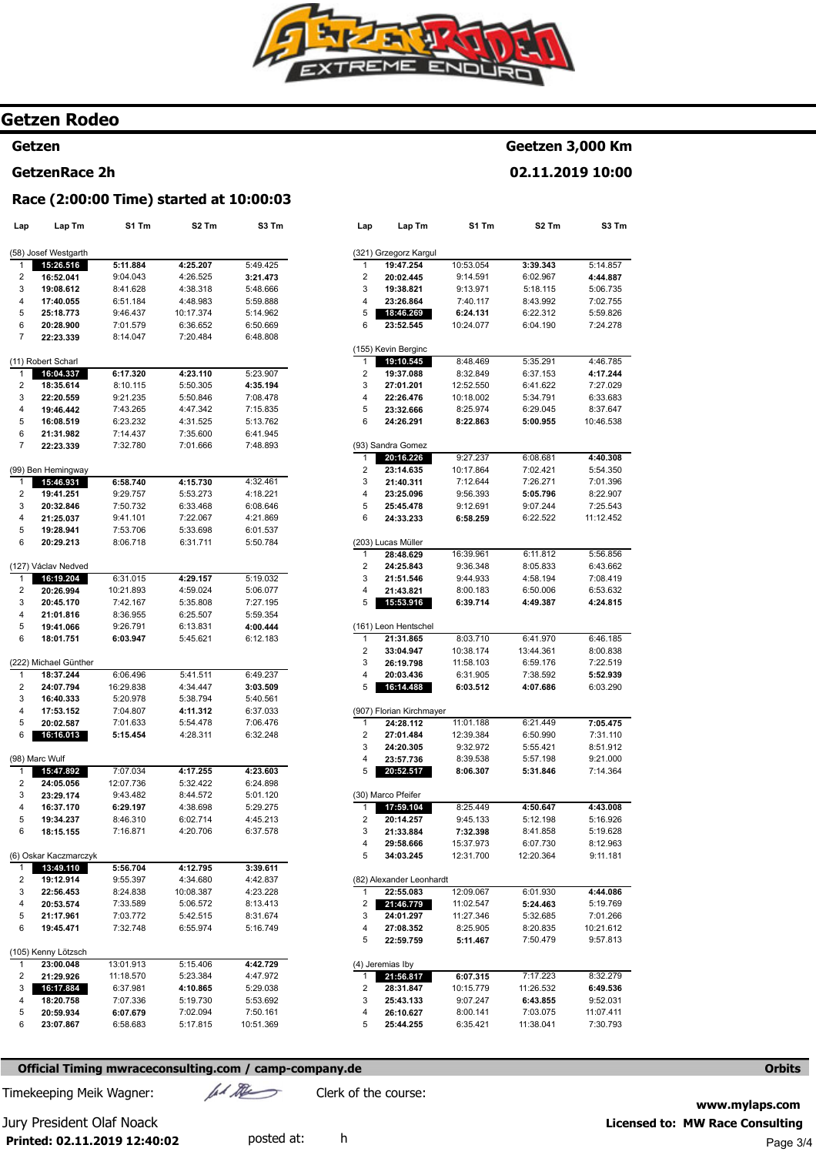

# **Getzen Rodeo**

# **Getzen**

# **GetzenRace 2h**

# **Race (2:00:00 Time) started at 10:00:03**

| Lap    | Lap Tm                           | S1 Tm                | S2 Tm                 | S3 Tm                |
|--------|----------------------------------|----------------------|-----------------------|----------------------|
|        |                                  |                      |                       |                      |
|        | (58) Josef Westgarth             |                      |                       |                      |
| 1      | 15:26.516                        | 5:11.884             | 4:25.207              | 5:49.425             |
| 2      | 16:52.041                        | 9:04.043             | 4:26.525              | 3:21.473             |
| 3      | 19:08.612                        | 8:41.628<br>6:51.184 | 4:38.318              | 5:48.666             |
| 4<br>5 | 17:40.055<br>25:18.773           | 9:46.437             | 4:48.983<br>10:17.374 | 5:59.888<br>5:14.962 |
| 6      | 20:28.900                        | 7:01.579             | 6:36.652              | 6:50.669             |
| 7      | 22:23.339                        | 8:14.047             | 7:20.484              | 6:48.808             |
|        |                                  |                      |                       |                      |
|        | (11) Robert Scharl               |                      |                       |                      |
| 1      | 16:04.337                        | 6:17.320             | 4:23.110              | 5:23.907             |
| 2      | 18:35.614                        | 8:10.115             | 5:50.305              | 4:35.194             |
| 3      | 22:20.559                        | 9:21.235             | 5:50.846              | 7:08.478             |
| 4      | 19:46.442                        | 7:43.265             | 4:47.342              | 7:15.835             |
| 5      | 16:08.519                        | 6:23.232             | 4:31.525              | 5:13.762             |
| 6<br>7 | 21:31.982<br>22:23.339           | 7:14.437<br>7:32.780 | 7:35.600<br>7:01.666  | 6:41.945<br>7:48.893 |
|        |                                  |                      |                       |                      |
|        | (99) Ben Hemingway               |                      |                       |                      |
| 1      | 15:46.931                        | 6:58.740             | 4:15.730              | 4:32.461             |
| 2      | 19:41.251                        | 9:29.757             | 5:53.273              | 4:18.221             |
| 3      | 20:32.846                        | 7:50.732             | 6:33.468              | 6:08.646             |
| 4      | 21:25.037                        | 9:41.101             | 7:22.067              | 4:21.869             |
| 5      | 19:28.941                        | 7:53.706             | 5:33.698              | 6:01.537             |
| 6      | 20:29.213                        | 8:06.718             | 6:31.711              | 5:50.784             |
|        | (127) Václav Nedved              |                      |                       |                      |
| 1      | 16:19.204                        | 6:31.015             | 4:29.157              | 5:19.032             |
| 2      | 20:26.994                        | 10:21.893            | 4:59.024              | 5:06.077             |
| 3      | 20:45.170                        | 7:42.167             | 5:35.808              | 7:27.195             |
| 4      | 21:01.816                        | 8:36.955             | 6:25.507              | 5:59.354             |
| 5      | 19:41.066                        | 9:26.791             | 6:13.831              | 4:00.444             |
| 6      | 18:01.751                        | 6:03.947             | 5:45.621              | 6:12.183             |
|        | (222) Michael Günther            |                      |                       |                      |
| 1      | 18:37.244                        | 6:06.496             | 5:41.511              | 6:49.237             |
| 2      | 24:07.794                        | 16:29.838            | 4:34.447              | 3:03.509             |
| 3      | 16:40.333                        | 5:20.978             | 5:38.794              | 5:40.561             |
| 4      | 17:53.152                        | 7:04.807             | 4:11.312              | 6:37.033             |
| 5      | 20:02.587                        | 7:01.633             | 5:54.478              | 7:06.476             |
| 6      | 16:16.013                        | 5:15.454             | 4:28.311              | 6:32.248             |
|        | (98) Marc Wulf                   |                      |                       |                      |
| 1      | 15:47.892                        | 7:07.034             | 4:17.255              | 4:23.603             |
| 2      | 24:05.056                        | 12:07.736            | 5:32.422              | 6:24.898             |
| 3      | 23:29.174                        | 9:43.482             | 8:44.572              | 5:01.120             |
| 4      | 16:37.170                        | 6:29.197             | 4:38.698              | 5:29.275             |
| 5      | 19:34.237                        | 8:46.310             | 6:02.714              | 4:45.213             |
| 6      | 18:15.155                        | 7:16.871             | 4:20.706              | 6:37.578             |
|        | (6) Oskar Kaczmarczyk            |                      |                       |                      |
| 1      | 13:49.110                        | 5:56.704             | 4:12.795              | 3:39.611             |
| 2      | 19:12.914                        | 9:55.397             | 4:34.680              | 4:42.837             |
| 3      | 22:56.453                        | 8:24.838             | 10:08.387             | 4:23.228             |
| 4      | 20:53.574                        | 7:33.589             | 5:06.572              | 8:13.413             |
| 5      | 21:17.961                        | 7:03.772             | 5:42.515              | 8:31.674             |
| 6      | 19:45.471                        | 7:32.748             | 6:55.974              | 5:16.749             |
|        |                                  |                      |                       |                      |
| 1      | (105) Kenny Lötzsch<br>23:00.048 | 13:01.913            | 5:15.406              | 4:42.729             |
| 2      | 21:29.926                        | 11:18.570            | 5:23.384              | 4:47.972             |
| 3      | 16:17.884                        | 6:37.981             | 4:10.865              | 5:29.038             |
| 4      | 18:20.758                        | 7:07.336             | 5:19.730              | 5:53.692             |
| 5      | 20:59.934                        | 6:07.679             | 7:02.094              | 7:50.161             |
| 6      | 23:07.867                        | 6:58.683             | 5:17.815              | 10:51.369            |

| Lap    | Lap Tm                   | S1 Tm                 | S2 Tm                | S3 Tm     |
|--------|--------------------------|-----------------------|----------------------|-----------|
|        | (321) Grzegorz Kargul    |                       |                      |           |
| 1      | 19:47.254                | 10:53.054             | 3:39.343             | 5:14.857  |
| 2      | 20:02.445                | 9:14.591              | 6:02.967             | 4:44.887  |
| 3      | 19:38.821                | 9:13.971              | 5:18.115             | 5:06.735  |
| 4      | 23:26.864                | 7:40.117              | 8:43.992             | 7:02.755  |
| 5      | 18:46.269                | 6:24.131              | 6:22.312             | 5:59.826  |
| 6      | 23:52.545                | 10:24.077             | 6:04.190             | 7:24.278  |
|        |                          |                       |                      |           |
|        | (155) Kevin Berginc      |                       |                      |           |
| 1      | 19:10.545                | 8:48.469              | 5:35.291             | 4:46.785  |
| 2      | 19:37.088                | 8:32.849              | 6:37.153             | 4:17.244  |
| 3      | 27:01.201                | 12:52.550             | 6:41.622             | 7:27.029  |
| 4      | 22:26.476                | 10:18.002             | 5:34.791             | 6:33.683  |
| 5      | 23:32.666                | 8:25.974              | 6:29.045             | 8:37.647  |
| 6      | 24:26.291                | 8:22.863              | 5:00.955             | 10:46.538 |
|        | (93) Sandra Gomez        |                       |                      |           |
| 1      | 20:16.226                | 9:27.237              | 6:08.681             | 4:40.308  |
| 2      | 23:14.635                | 10:17.864             | 7:02.421             | 5:54.350  |
| 3      | 21:40.311                | 7:12.644              | 7:26.271             | 7:01.396  |
| 4      | 23:25.096                | 9:56.393              | 5:05.796             | 8:22.907  |
| 5      | 25:45.478                | 9:12.691              | 9:07.244             | 7:25.543  |
| 6      | 24:33.233                | 6:58.259              | 6:22.522             | 11:12.452 |
|        | (203) Lucas Müller       |                       |                      |           |
| 1      | 28:48.629                | 16:39.961             | 6:11.812             | 5:56.856  |
| 2      | 24:25.843                | 9:36.348              | 8:05.833             | 6:43.662  |
| 3      | 21:51.546                | 9:44.933              | 4:58.194             | 7:08.419  |
| 4      | 21:43.821                | 8:00.183              | 6:50.006             | 6:53.632  |
| 5      | 15:53.916                | 6:39.714              | 4:49.387             | 4:24.815  |
|        |                          |                       |                      |           |
|        | (161) Leon Hentschel     |                       |                      |           |
| 1      | 21:31.865                | 8:03.710              | 6:41.970             | 6:46.185  |
| 2      | 33:04.947                | 10:38.174             | 13:44.361            | 8:00.838  |
| 3      | 26:19.798                | 11:58.103             | 6:59.176             | 7:22.519  |
| 4      | 20:03.436                | 6:31.905              | 7:38.592             | 5:52.939  |
| 5      | 16:14.488                | 6:03.512              | 4:07.686             | 6:03.290  |
|        | (907) Florian Kirchmayer |                       |                      |           |
| 1      | 24:28.112                | 11:01.188             | 6:21.449             | 7:05.475  |
| 2      | 27:01.484                | 12:39.384             | 6:50.990             | 7:31.110  |
| 3      | 24:20.305                | 9:32.972              | 5:55.421             | 8:51.912  |
| 4      | 23:57.736                | 8:39.538              | 5:57.198             | 9:21.000  |
| 5      | 20:52.517                | 8:06.307              | 5:31.846             | 7:14.364  |
|        | (30) Marco Pfeifer       |                       |                      |           |
| 1      | 17:59.104                | 8:25.449              | 4:50.647             | 4:43.008  |
| 2      | 20:14.257                | 9:45.133              | 5:12.198             | 5:16.926  |
| 3      | 21:33.884                | 7:32.398              | 8:41.858             | 5:19.628  |
| 4      | 29:58.666                | 15:37.973             | 6:07.730             | 8:12.963  |
| 5      | 34:03.245                | 12:31.700             | 12:20.364            | 9:11.181  |
|        | (82) Alexander Leonhardt |                       |                      |           |
| 1      | 22:55.083                | 12:09.067             | 6:01.930             | 4:44.086  |
|        | 21:46.779                |                       |                      | 5:19.769  |
| 2      |                          | 11:02.547             | 5:24.463             | 7:01.266  |
| 3<br>4 | 24:01.297                | 11:27.346<br>8:25.905 | 5:32.685             | 10:21.612 |
|        | 27:08.352<br>22:59.759   |                       | 8:20.835<br>7:50.479 |           |
| 5      |                          | 5:11.467              |                      | 9:57.813  |
|        | (4) Jeremias Iby         |                       |                      |           |
| 1      | 21:56.817                | 6:07.315              | 7:17.223             | 8:32.279  |
| 2      | 28:31.847                | 10:15.779             | 11:26.532            | 6:49.536  |
| 3      | 25:43.133                | 9:07.247              | 6:43.855             | 9:52.031  |
| 4      | 26:10.627                | 8:00.141              | 7:03.075             | 11:07.411 |
| 5      | 25:44.255                | 6:35.421              | 11:38.041            | 7:30.793  |
|        |                          |                       |                      |           |

**Geetzen 3,000 Km 02.11.2019 10:00** 

## **Official Timing mwraceconsulting.com / camp-company.de** Orbits **Company.de Company.de Company**

Timekeeping Meik Wagner:  $\mu$ // $\lambda$ 

**Printed: 02.11.2019 12:40:02** 

**www.mylaps.com**  Jury President Olaf Noack **Licensed to: MW Race Consulting**  posted at: h explored at: h Page 3/4